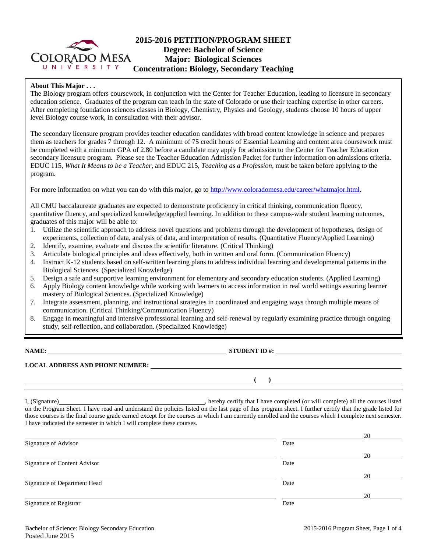

## **2015-2016 PETITION/PROGRAM SHEET Degree: Bachelor of Science Major: Biological Sciences Concentration: Biology, Secondary Teaching**

## **About This Major . . .**

The Biology program offers coursework, in conjunction with the Center for Teacher Education, leading to licensure in secondary education science. Graduates of the program can teach in the state of Colorado or use their teaching expertise in other careers. After completing foundation sciences classes in Biology, Chemistry, Physics and Geology, students choose 10 hours of upper level Biology course work, in consultation with their advisor.

The secondary licensure program provides teacher education candidates with broad content knowledge in science and prepares them as teachers for grades 7 through 12. A minimum of 75 credit hours of Essential Learning and content area coursework must be completed with a minimum GPA of 2.80 before a candidate may apply for admission to the Center for Teacher Education secondary licensure program. Please see the Teacher Education Admission Packet for further information on admissions criteria. EDUC 115, *What It Means to be a Teacher*, and EDUC 215, *Teaching as a Profession*, must be taken before applying to the program.

For more information on what you can do with this major, go to [http://www.coloradomesa.edu/career/whatmajor.html.](http://www.coloradomesa.edu/career/whatmajor.html)

All CMU baccalaureate graduates are expected to demonstrate proficiency in critical thinking, communication fluency, quantitative fluency, and specialized knowledge/applied learning. In addition to these campus-wide student learning outcomes, graduates of this major will be able to:

- 1. Utilize the scientific approach to address novel questions and problems through the development of hypotheses, design of experiments, collection of data, analysis of data, and interpretation of results. (Quantitative Fluency/Applied Learning)
- 2. Identify, examine, evaluate and discuss the scientific literature. (Critical Thinking)
- 3. Articulate biological principles and ideas effectively, both in written and oral form. (Communication Fluency)
- 4. Instruct K-12 students based on self-written learning plans to address individual learning and developmental patterns in the Biological Sciences. (Specialized Knowledge)
- 5. Design a safe and supportive learning environment for elementary and secondary education students. (Applied Learning)
- 6. Apply Biology content knowledge while working with learners to access information in real world settings assuring learner mastery of Biological Sciences. (Specialized Knowledge)
- 7. Integrate assessment, planning, and instructional strategies in coordinated and engaging ways through multiple means of communication. (Critical Thinking/Communication Fluency)
- 8. Engage in meaningful and intensive professional learning and self-renewal by regularly examining practice through ongoing study, self-reflection, and collaboration. (Specialized Knowledge)

**NAME: STUDENT ID #: STUDENT ID #: STUDENT ID #: STUDENT ID #: STUDENT ID #: STUDENT ID #: STUDENT ID #: STUDENT ID #: STUDENT ID #: STUDENT ID #: STUDENT ID #: STUDENT ID #: STUDENT ID #: STUDE** 

**( )** 

# **LOCAL ADDRESS AND PHONE NUMBER:**

I, (Signature) **Source 2008** (Signature) , hereby certify that I have completed (or will complete) all the courses listed on the Program Sheet. I have read and understand the policies listed on the last page of this program sheet. I further certify that the grade listed for those courses is the final course grade earned except for the courses in which I am currently enrolled and the courses which I complete next semester. I have indicated the semester in which I will complete these courses.

|                              |      | 20 |
|------------------------------|------|----|
| Signature of Advisor         | Date |    |
|                              |      | 20 |
| Signature of Content Advisor | Date |    |
|                              |      | 20 |
| Signature of Department Head | Date |    |
|                              |      | 20 |
| Signature of Registrar       | Date |    |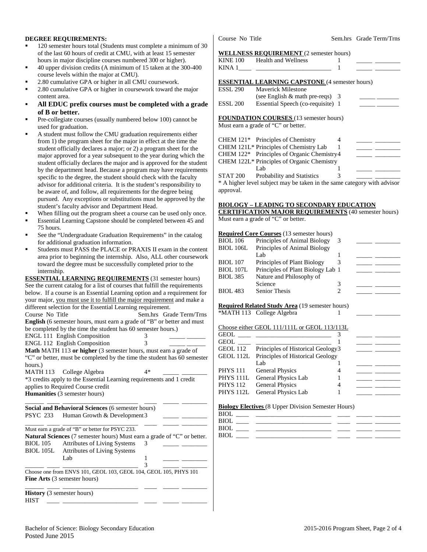## **DEGREE REQUIREMENTS:**

- 120 semester hours total (Students must complete a minimum of 30 of the last 60 hours of credit at CMU, with at least 15 semester hours in major discipline courses numbered 300 or higher).
- 40 upper division credits (A minimum of 15 taken at the 300-400 course levels within the major at CMU).
- 2.80 cumulative GPA or higher in all CMU coursework.
- 2.80 cumulative GPA or higher in coursework toward the major content area.
- **All EDUC prefix courses must be completed with a grade of B or better.**
- Pre-collegiate courses (usually numbered below 100) cannot be used for graduation.
- A student must follow the CMU graduation requirements either from 1) the program sheet for the major in effect at the time the student officially declares a major; or 2) a program sheet for the major approved for a year subsequent to the year during which the student officially declares the major and is approved for the student by the department head. Because a program may have requirements specific to the degree, the student should check with the faculty advisor for additional criteria. It is the student's responsibility to be aware of, and follow, all requirements for the degree being pursued. Any exceptions or substitutions must be approved by the student's faculty advisor and Department Head.
- When filling out the program sheet a course can be used only once.
- Essential Learning Capstone should be completed between 45 and 75 hours.
- See the "Undergraduate Graduation Requirements" in the catalog for additional graduation information.
- Students must PASS the PLACE or PRAXIS II exam in the content area prior to beginning the internship. Also, ALL other coursework toward the degree must be successfully completed prior to the internship.

**ESSENTIAL LEARNING REQUIREMENTS** (31 semester hours) See the current catalog for a list of courses that fulfill the requirements below. If a course is an Essential Learning option and a requirement for your major, you must use it to fulfill the major requirement and make a different selection for the Essential Learning requirement. Course No Title Sem.hrs Grade Term/Trns **English** (6 semester hours, must earn a grade of "B" or better and must be completed by the time the student has 60 semester hours.) ENGL 111 English Composition 3 \_\_\_\_\_ \_\_\_\_\_\_ ENGL 112 English Composition 3 \_\_\_\_\_ \_\_\_\_\_\_ **Math** MATH 113 **or higher** (3 semester hours, must earn a grade of "C" or better, must be completed by the time the student has 60 semester hours.) MATH 113 College Algebra 4\* \*3 credits apply to the Essential Learning requirements and 1 credit applies to Required Course credit **Humanities** (3 semester hours) \_\_\_\_\_\_ \_\_\_\_ \_\_\_\_\_\_\_\_\_\_\_\_\_\_\_\_\_\_\_\_\_\_\_\_ \_\_\_\_ \_\_\_\_\_ \_\_\_\_\_\_\_\_ **Social and Behavioral Sciences** (6 semester hours) PSYC 233 Human Growth & Development 3 \_\_\_\_\_\_ \_\_\_\_ \_\_\_\_\_\_\_\_\_\_\_\_\_\_\_\_\_\_\_\_\_\_\_\_ \_\_\_\_ \_\_\_\_\_ \_\_\_\_\_\_\_\_ Must earn a grade of "B" or better for PSYC 233. **Natural Sciences** (7 semester hours) Must earn a grade of "C" or better. BIOL 105 Attributes of Living Systems 3 BIOL 105L Attributes of Living Systems Lab 1 \_\_\_\_\_ \_\_\_\_\_\_\_\_ \_\_\_\_\_\_ \_\_\_\_ \_\_\_\_\_\_\_\_\_\_\_\_\_\_\_\_\_\_\_\_\_\_\_\_ 3 \_\_\_\_\_ \_\_\_\_\_\_\_\_ Choose one from ENVS 101, GEOL 103, GEOL 104, GEOL 105, PHYS 101 **Fine Arts** (3 semester hours) \_\_\_\_\_\_ \_\_\_\_ \_\_\_\_\_\_\_\_\_\_\_\_\_\_\_\_\_\_\_\_\_\_\_\_ \_\_\_\_ \_\_\_\_\_ \_\_\_\_\_\_\_\_ **History** (3 semester hours)

HIST \_\_\_\_ \_\_\_\_\_\_\_\_\_\_\_\_\_\_\_\_\_\_\_\_\_\_\_\_ \_\_\_\_ \_\_\_\_\_ \_\_\_\_\_\_\_\_

Course No Title Sem.hrs Grade Term/Trns

## **WELL NESS REQUIREMENT** (2 semester hours)

|                 | WELLINESS REQUIREMENT (2 semester hours)               |   |  |
|-----------------|--------------------------------------------------------|---|--|
| <b>KINE 100</b> | Health and Wellness                                    |   |  |
| KINA 1          |                                                        |   |  |
|                 | <b>ESSENTIAL LEARNING CAPSTONE</b> (4 semester hours)  |   |  |
| <b>ESSL 290</b> | <b>Maverick Milestone</b>                              |   |  |
|                 | (see English $\&$ math pre-reqs) 3                     |   |  |
| <b>ESSL 200</b> | Essential Speech (co-requisite) 1                      |   |  |
|                 | <b>FOUNDATION COURSES</b> (13 semester hours)          |   |  |
|                 | Must earn a grade of "C" or better.                    |   |  |
|                 | CHEM $121*$ Principles of Chemistry                    | 4 |  |
|                 | CHEM 121L* Principles of Chemistry Lab                 |   |  |
|                 | CHEM 122 <sup>*</sup> Principles of Organic Chemistry4 |   |  |
|                 | CHEM 122L* Principles of Organic Chemistry             |   |  |
|                 | Lab                                                    |   |  |
| <b>STAT 200</b> | <b>Probability and Statistics</b>                      |   |  |

\* A higher level subject may be taken in the same category with advisor approval.

## **BIOLOGY – LEADING TO SECONDARY EDUCATION**

**CERTIFICATION MAJOR REQUIREMENTS** (40 semester hours) Must earn a grade of "C" or better.

### **Required Core Courses** (13 semester hours)

| <b>BIOL 106</b>  | Principles of Animal Biology      | 3 |  |
|------------------|-----------------------------------|---|--|
| <b>BIOL 106L</b> | Principles of Animal Biology      |   |  |
|                  | Lab                               |   |  |
| <b>BIOL</b> 107  | Principles of Plant Biology       |   |  |
| <b>BIOL 107L</b> | Principles of Plant Biology Lab 1 |   |  |
| <b>BIOL 385</b>  | Nature and Philosophy of          |   |  |
|                  | Science                           | 3 |  |
| <b>BIOL 483</b>  | <b>Senior Thesis</b>              |   |  |
|                  |                                   |   |  |

#### **Required Related Study Area** (19 semester hours) \*MATH 113 College Algebra 1

Choose either GEOL 111/111L or GEOL 113/113L

| <b>GEOL</b> SERVICE SERVICE SERVICE SERVICE SERVICE SERVICE SERVICE SERVICE SERVICE SERVICE SERVICE SERVICE SERVICE SERVICE SERVICE SERVICE SERVICE SERVICE SERVICE SERVICE SERVICE SERVICE SERVICE SERVICE SERVICE SERVICE SERVICE |                                            |  |  |
|-------------------------------------------------------------------------------------------------------------------------------------------------------------------------------------------------------------------------------------|--------------------------------------------|--|--|
| <b>GEOL</b>                                                                                                                                                                                                                         |                                            |  |  |
| GEOL 112                                                                                                                                                                                                                            | Principles of Historical Geology3          |  |  |
|                                                                                                                                                                                                                                     | GEOL 112L Principles of Historical Geology |  |  |
|                                                                                                                                                                                                                                     | Lab                                        |  |  |
| <b>PHYS 111</b>                                                                                                                                                                                                                     | <b>General Physics</b>                     |  |  |
| PHYS <sub>111L</sub>                                                                                                                                                                                                                | General Physics Lab                        |  |  |
| <b>PHYS 112</b>                                                                                                                                                                                                                     | <b>General Physics</b>                     |  |  |
|                                                                                                                                                                                                                                     | PHYS 112L General Physics Lab              |  |  |
|                                                                                                                                                                                                                                     |                                            |  |  |

#### **Biology Electives** (8 Upper Division Semester Hours)

| <b>BIOL</b> |                                                                 |  |  |
|-------------|-----------------------------------------------------------------|--|--|
| <b>BIOL</b> | <u> 1980 - Jan Samuel Barbara, martin a</u>                     |  |  |
| <b>BIOL</b> | the contract of the contract of the contract of the contract of |  |  |
| BIOL        |                                                                 |  |  |
|             |                                                                 |  |  |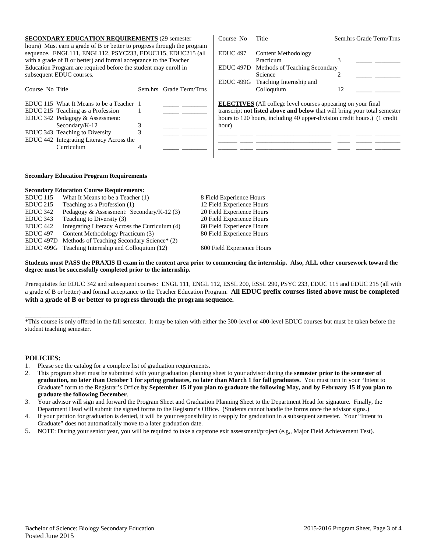| <b>SECONDARY EDUCATION REQUIREMENTS (29 semester)</b><br>hours) Must earn a grade of B or better to progress through the program                                                                                                  |                         | Course No            | Title                                                                                                                                                                                                                        |    | Sem.hrs Grade Term/Trns |
|-----------------------------------------------------------------------------------------------------------------------------------------------------------------------------------------------------------------------------------|-------------------------|----------------------|------------------------------------------------------------------------------------------------------------------------------------------------------------------------------------------------------------------------------|----|-------------------------|
| sequence. ENGL111, ENGL112, PSYC233, EDUC115, EDUC215 (all                                                                                                                                                                        |                         | <b>EDUC</b> 497      | Content Methodology                                                                                                                                                                                                          |    |                         |
| with a grade of B or better) and formal acceptance to the Teacher                                                                                                                                                                 |                         |                      | Practicum                                                                                                                                                                                                                    |    |                         |
| Education Program are required before the student may enroll in                                                                                                                                                                   |                         | EDUC <sub>497D</sub> | Methods of Teaching Secondary                                                                                                                                                                                                |    |                         |
| subsequent EDUC courses.                                                                                                                                                                                                          |                         |                      | Science                                                                                                                                                                                                                      |    |                         |
|                                                                                                                                                                                                                                   |                         | EDUC <sub>499G</sub> | Teaching Internship and                                                                                                                                                                                                      |    |                         |
| Course No Title                                                                                                                                                                                                                   | Sem.hrs Grade Term/Trns |                      | Colloquium                                                                                                                                                                                                                   | 12 |                         |
| EDUC 115 What It Means to be a Teacher 1<br>EDUC 215 Teaching as a Profession<br>EDUC 342 Pedagogy & Assessment:<br>Secondary/ $K-12$<br>EDUC 343 Teaching to Diversity<br>EDUC 442 Integrating Literacy Across the<br>Curriculum |                         | hour)                | <b>ELECTIVES</b> (All college level courses appearing on your final<br>transcript not listed above and below that will bring your total semester<br>hours to 120 hours, including 40 upper-division credit hours.) (1 credit |    |                         |

### **Secondary Education Program Requirements**

|                      | <b>Secondary Education Course Requirements:</b>   |                            |
|----------------------|---------------------------------------------------|----------------------------|
| <b>EDUC</b> 115      | What It Means to be a Teacher (1)                 | 8 Field Experience Hours   |
| $EDUC$ 215           | Teaching as a Profession (1)                      | 12 Field Experience Hours  |
| EDUC <sub>342</sub>  | Pedagogy & Assessment: Secondary/K-12 (3)         | 20 Field Experience Hours  |
| EDUC 343             | Teaching to Diversity (3)                         | 20 Field Experience Hours  |
| EDUC <sub>442</sub>  | Integrating Literacy Across the Curriculum (4)    | 60 Field Experience Hours  |
| <b>EDUC 497</b>      | Content Methodology Practicum (3)                 | 80 Field Experience Hours  |
| EDUC <sub>497D</sub> | Methods of Teaching Secondary Science* (2)        |                            |
|                      | EDUC 499G Teaching Internship and Colloquium (12) | 600 Field Experience Hours |
|                      |                                                   |                            |

## **Students must PASS the PRAXIS II exam in the content area prior to commencing the internship. Also, ALL other coursework toward the degree must be successfully completed prior to the internship.**

Prerequisites for EDUC 342 and subsequent courses: ENGL 111, ENGL 112, ESSL 200, ESSL 290, PSYC 233, EDUC 115 and EDUC 215 (all with a grade of B or better) and formal acceptance to the Teacher Education Program. **All EDUC prefix courses listed above must be completed with a grade of B or better to progress through the program sequence.**

## **POLICIES:**

\_\_\_\_\_\_\_\_\_\_\_\_\_\_\_\_\_\_\_\_\_

- 1. Please see the catalog for a complete list of graduation requirements.
- 2. This program sheet must be submitted with your graduation planning sheet to your advisor during the **semester prior to the semester of graduation, no later than October 1 for spring graduates, no later than March 1 for fall graduates.** You must turn in your "Intent to Graduate" form to the Registrar's Office **by September 15 if you plan to graduate the following May, and by February 15 if you plan to graduate the following December**.
- 3. Your advisor will sign and forward the Program Sheet and Graduation Planning Sheet to the Department Head for signature. Finally, the Department Head will submit the signed forms to the Registrar's Office. (Students cannot handle the forms once the advisor signs.)
- 4. If your petition for graduation is denied, it will be your responsibility to reapply for graduation in a subsequent semester. Your "Intent to Graduate" does not automatically move to a later graduation date.
- 5. NOTE: During your senior year, you will be required to take a capstone exit assessment/project (e.g,, Major Field Achievement Test).

<sup>\*</sup>This course is only offered in the fall semester. It may be taken with either the 300-level or 400-level EDUC courses but must be taken before the student teaching semester.